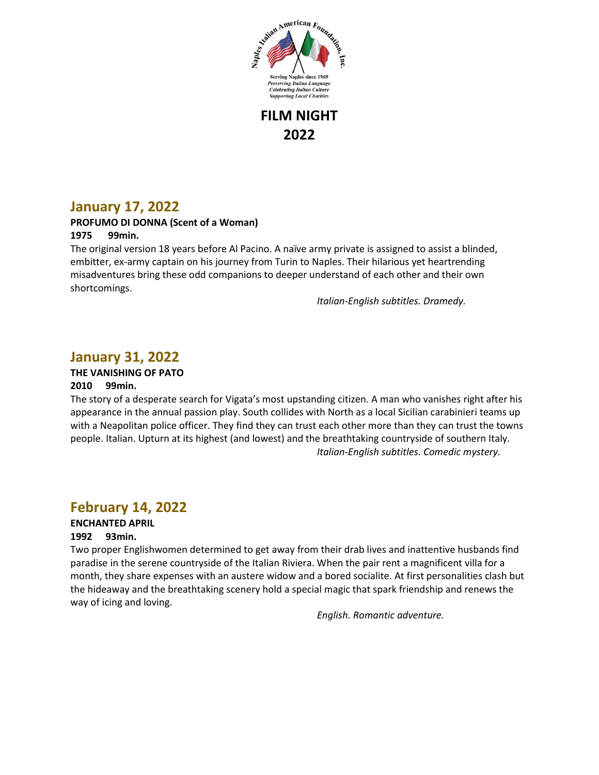

**FILM NIGHT 2022**

## **January 17, 2022**

### **PROFUMO DI DONNA (Scent of a Woman)**

### **1975 99min.**

The original version 18 years before Al Pacino. A naïve army private is assigned to assist a blinded, embitter, ex-army captain on his journey from Turin to Naples. Their hilarious yet heartrending misadventures bring these odd companions to deeper understand of each other and their own shortcomings.

*Italian-English subtitles. Dramedy.*

## **January 31, 2022**

### **THE VANISHING OF PATO**

### **2010 99min.**

The story of a desperate search for Vigata's most upstanding citizen. A man who vanishes right after his appearance in the annual passion play. South collides with North as a local Sicilian carabinieri teams up with a Neapolitan police officer. They find they can trust each other more than they can trust the towns people. Italian. Upturn at its highest (and lowest) and the breathtaking countryside of southern Italy. *Italian-English subtitles. Comedic mystery.* 

### **February 14, 2022**

### **ENCHANTED APRIL**

#### **1992 93min.**

Two proper Englishwomen determined to get away from their drab lives and inattentive husbands find paradise in the serene countryside of the Italian Riviera. When the pair rent a magnificent villa for a month, they share expenses with an austere widow and a bored socialite. At first personalities clash but the hideaway and the breathtaking scenery hold a special magic that spark friendship and renews the way of icing and loving.

*English. Romantic adventure.*